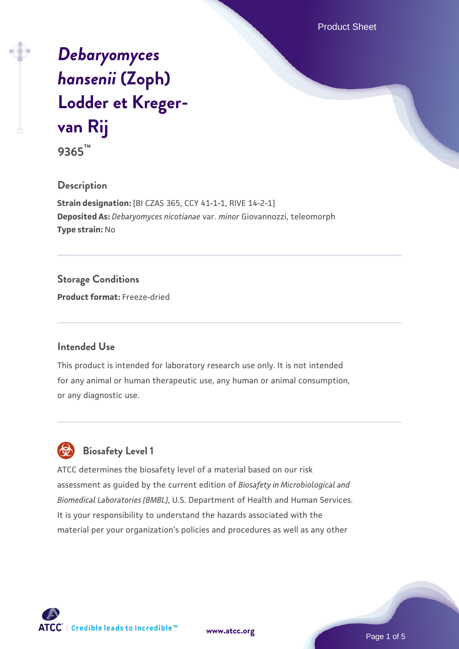Product Sheet

# *[Debaryomyces](https://www.atcc.org/products/9365) [hansenii](https://www.atcc.org/products/9365)* **[\(Zoph\)](https://www.atcc.org/products/9365) [Lodder et Kreger](https://www.atcc.org/products/9365)[van Rij](https://www.atcc.org/products/9365)**

**9365™**

# **Description**

**Strain designation:** [BI CZAS 365, CCY 41-1-1, RIVE 14-2-1] **Deposited As:** *Debaryomyces nicotianae* var. *minor* Giovannozzi, teleomorph **Type strain:** No

# **Storage Conditions**

**Product format:** Freeze-dried

#### **Intended Use**

This product is intended for laboratory research use only. It is not intended for any animal or human therapeutic use, any human or animal consumption, or any diagnostic use.

# **Biosafety Level 1**

ATCC determines the biosafety level of a material based on our risk assessment as guided by the current edition of *Biosafety in Microbiological and Biomedical Laboratories (BMBL)*, U.S. Department of Health and Human Services. It is your responsibility to understand the hazards associated with the material per your organization's policies and procedures as well as any other



**[www.atcc.org](http://www.atcc.org)**

Page 1 of 5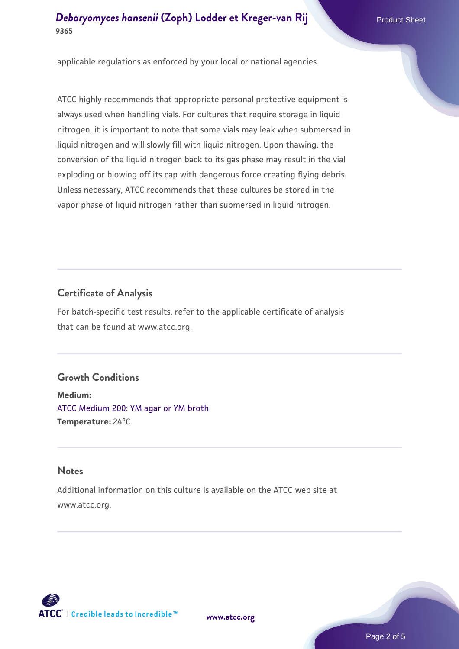applicable regulations as enforced by your local or national agencies.

ATCC highly recommends that appropriate personal protective equipment is always used when handling vials. For cultures that require storage in liquid nitrogen, it is important to note that some vials may leak when submersed in liquid nitrogen and will slowly fill with liquid nitrogen. Upon thawing, the conversion of the liquid nitrogen back to its gas phase may result in the vial exploding or blowing off its cap with dangerous force creating flying debris. Unless necessary, ATCC recommends that these cultures be stored in the vapor phase of liquid nitrogen rather than submersed in liquid nitrogen.

# **Certificate of Analysis**

For batch-specific test results, refer to the applicable certificate of analysis that can be found at www.atcc.org.

#### **Growth Conditions**

**Medium:**  [ATCC Medium 200: YM agar or YM broth](https://www.atcc.org/-/media/product-assets/documents/microbial-media-formulations/2/0/0/atcc-medium-200.pdf?rev=ac40fd74dc13433a809367b0b9da30fc) **Temperature:** 24°C

#### **Notes**

Additional information on this culture is available on the ATCC web site at www.atcc.org.



**[www.atcc.org](http://www.atcc.org)**

Page 2 of 5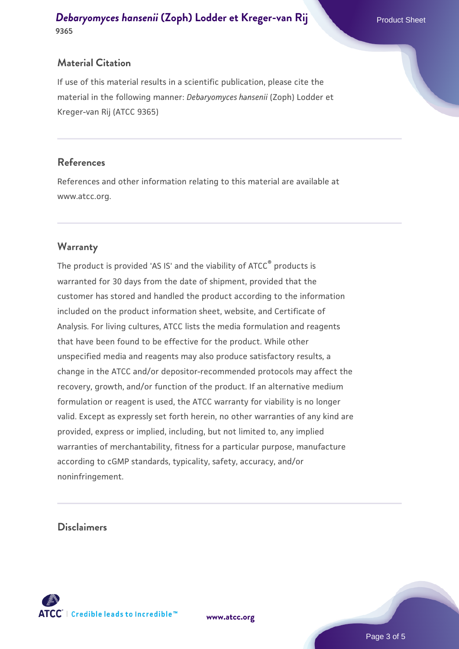#### **Material Citation**

If use of this material results in a scientific publication, please cite the material in the following manner: *Debaryomyces hansenii* (Zoph) Lodder et Kreger-van Rij (ATCC 9365)

#### **References**

References and other information relating to this material are available at www.atcc.org.

# **Warranty**

The product is provided 'AS IS' and the viability of ATCC® products is warranted for 30 days from the date of shipment, provided that the customer has stored and handled the product according to the information included on the product information sheet, website, and Certificate of Analysis. For living cultures, ATCC lists the media formulation and reagents that have been found to be effective for the product. While other unspecified media and reagents may also produce satisfactory results, a change in the ATCC and/or depositor-recommended protocols may affect the recovery, growth, and/or function of the product. If an alternative medium formulation or reagent is used, the ATCC warranty for viability is no longer valid. Except as expressly set forth herein, no other warranties of any kind are provided, express or implied, including, but not limited to, any implied warranties of merchantability, fitness for a particular purpose, manufacture according to cGMP standards, typicality, safety, accuracy, and/or noninfringement.

#### **Disclaimers**



**[www.atcc.org](http://www.atcc.org)**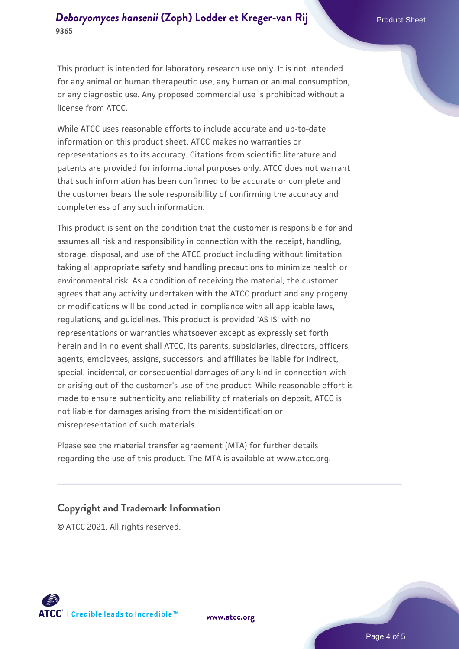This product is intended for laboratory research use only. It is not intended for any animal or human therapeutic use, any human or animal consumption, or any diagnostic use. Any proposed commercial use is prohibited without a license from ATCC.

While ATCC uses reasonable efforts to include accurate and up-to-date information on this product sheet, ATCC makes no warranties or representations as to its accuracy. Citations from scientific literature and patents are provided for informational purposes only. ATCC does not warrant that such information has been confirmed to be accurate or complete and the customer bears the sole responsibility of confirming the accuracy and completeness of any such information.

This product is sent on the condition that the customer is responsible for and assumes all risk and responsibility in connection with the receipt, handling, storage, disposal, and use of the ATCC product including without limitation taking all appropriate safety and handling precautions to minimize health or environmental risk. As a condition of receiving the material, the customer agrees that any activity undertaken with the ATCC product and any progeny or modifications will be conducted in compliance with all applicable laws, regulations, and guidelines. This product is provided 'AS IS' with no representations or warranties whatsoever except as expressly set forth herein and in no event shall ATCC, its parents, subsidiaries, directors, officers, agents, employees, assigns, successors, and affiliates be liable for indirect, special, incidental, or consequential damages of any kind in connection with or arising out of the customer's use of the product. While reasonable effort is made to ensure authenticity and reliability of materials on deposit, ATCC is not liable for damages arising from the misidentification or misrepresentation of such materials.

Please see the material transfer agreement (MTA) for further details regarding the use of this product. The MTA is available at www.atcc.org.

# **Copyright and Trademark Information**

© ATCC 2021. All rights reserved.



**[www.atcc.org](http://www.atcc.org)**